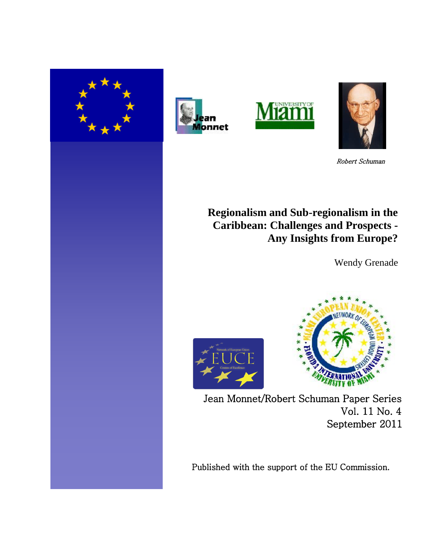







Robert Schuman

# **Regionalism and Sub-regionalism in the Caribbean: Challenges and Prospects - Any Insights from Europe?**

Wendy Grenade





Jean Monnet/Robert Schuman Paper Series Vol. 11 No. 4 September 2011

Published with the support of the EU Commission.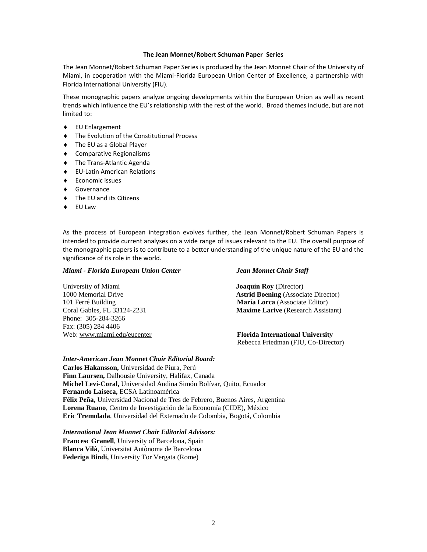#### **The Jean Monnet/Robert Schuman Paper Series**

The Jean Monnet/Robert Schuman Paper Series is produced by the Jean Monnet Chair of the University of Miami, in cooperation with the Miami-Florida European Union Center of Excellence, a partnership with Florida International University (FIU).

These monographic papers analyze ongoing developments within the European Union as well as recent trends which influence the EU's relationship with the rest of the world. Broad themes include, but are not limited to:

- EU Enlargement
- ◆ The Evolution of the Constitutional Process
- ◆ The EU as a Global Player
- ◆ Comparative Regionalisms
- ◆ The Trans-Atlantic Agenda
- EU-Latin American Relations
- Economic issues
- Governance
- ◆ The EU and its Citizens
- $\bullet$  FU Law

As the process of European integration evolves further, the Jean Monnet/Robert Schuman Papers is intended to provide current analyses on a wide range of issues relevant to the EU. The overall purpose of the monographic papers is to contribute to a better understanding of the unique nature of the EU and the significance of its role in the world.

#### *Miami - Florida European Union Center Jean Monnet Chair Staff*

University of Miami **Joaquín Roy** (Director) 1000 Memorial Drive **Astrid Boening** (Associate Director) 101 Ferré Building **María Lorca** (Associate Editor) Coral Gables, FL 33124-2231 **Maxime Larive** (Research Assistant) Phone: 305-284-3266 Fax: (305) 284 4406 Web: [www.miami.edu/eucenter](http://www.miami.edu/eucenter) **Florida International University**

Rebecca Friedman (FIU, Co-Director)

#### *Inter-American Jean Monnet Chair Editorial Board:*

**Carlos Hakansson,** Universidad de Piura, Perú **Finn Laursen,** Dalhousie University, Halifax, Canada **Michel Levi-Coral,** Universidad Andina Simón Bolívar, Quito, Ecuador **Fernando Laiseca,** ECSA Latinoamérica **Félix Peña,** Universidad Nacional de Tres de Febrero, Buenos Aires, Argentina **Lorena Ruano**, Centro de Investigación de la Economía (CIDE), México **Eric Tremolada**, Universidad del Externado de Colombia, Bogotá, Colombia

*International Jean Monnet Chair Editorial Advisors:* **Francesc Granell**, University of Barcelona, Spain **Blanca Vilà**, Universitat Autònoma de Barcelona **Federiga Bindi,** University Tor Vergata (Rome)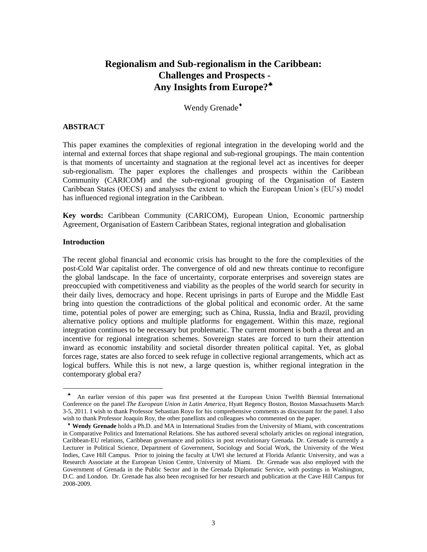# **Regionalism and Sub-regionalism in the Caribbean: Challenges and Prospects - Any Insights from Europe?**

Wendy Grenade<sup>+</sup>

# **ABSTRACT**

This paper examines the complexities of regional integration in the developing world and the internal and external forces that shape regional and sub-regional groupings. The main contention is that moments of uncertainty and stagnation at the regional level act as incentives for deeper sub-regionalism. The paper explores the challenges and prospects within the Caribbean Community (CARICOM) and the sub-regional grouping of the Organisation of Eastern Caribbean States (OECS) and analyses the extent to which the European Union"s (EU"s) model has influenced regional integration in the Caribbean.

**Key words:** Caribbean Community (CARICOM), European Union, Economic partnership Agreement, Organisation of Eastern Caribbean States, regional integration and globalisation

# **Introduction**

l

The recent global financial and economic crisis has brought to the fore the complexities of the post-Cold War capitalist order. The convergence of old and new threats continue to reconfigure the global landscape. In the face of uncertainty, corporate enterprises and sovereign states are preoccupied with competitiveness and viability as the peoples of the world search for security in their daily lives, democracy and hope. Recent uprisings in parts of Europe and the Middle East bring into question the contradictions of the global political and economic order. At the same time, potential poles of power are emerging; such as China, Russia, India and Brazil, providing alternative policy options and multiple platforms for engagement. Within this maze, regional integration continues to be necessary but problematic. The current moment is both a threat and an incentive for regional integration schemes. Sovereign states are forced to turn their attention inward as economic instability and societal disorder threaten political capital. Yet, as global forces rage, states are also forced to seek refuge in collective regional arrangements, which act as logical buffers. While this is not new, a large question is, whither regional integration in the contemporary global era?

 $\clubsuit$  An earlier version of this paper was first presented at the European Union Twelfth Biennial International Conference on the panel *The European Union in Latin America,* Hyatt Regency Boston, Boston Massachusetts March 3-5, 2011. I wish to thank Professor Sebastian Royo for his comprehensive comments as discussant for the panel. I also wish to thank Professor Joaquin Roy, the other panellists and colleagues who commented on the paper.

**Wendy Grenade** holds a Ph.D. and MA in International Studies from the University of Miami, with concentrations in Comparative Politics and International Relations. She has authored several scholarly articles on regional integration, Caribbean-EU relations, Caribbean governance and politics in post revolutionary Grenada. Dr. Grenade is currently a Lecturer in Political Science, Department of Government, Sociology and Social Work, the University of the West Indies, Cave Hill Campus. Prior to joining the faculty at UWI she lectured at Florida Atlantic University, and was a Research Associate at the European Union Centre, University of Miami. Dr. Grenade was also employed with the Government of Grenada in the Public Sector and in the Grenada Diplomatic Service, with postings in Washington, D.C. and London. Dr. Grenade has also been recognised for her research and publication at the Cave Hill Campus for 2008-2009.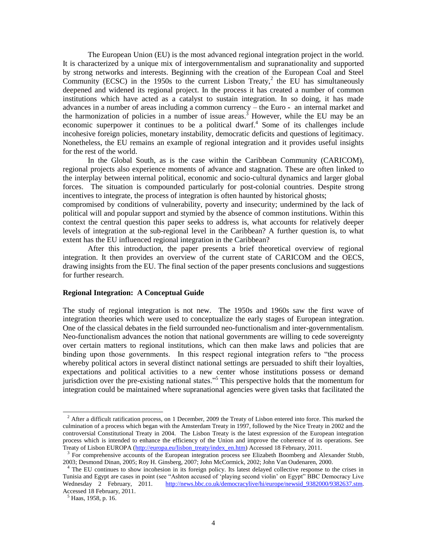The European Union (EU) is the most advanced regional integration project in the world. It is characterized by a unique mix of intergovernmentalism and supranationality and supported by strong networks and interests. Beginning with the creation of the European Coal and Steel Community (ECSC) in the 1950s to the current Lisbon Treaty,<sup>2</sup> the EU has simultaneously deepened and widened its regional project. In the process it has created a number of common institutions which have acted as a catalyst to sustain integration. In so doing, it has made advances in a number of areas including a common currency – the Euro **-** an internal market and the harmonization of policies in a number of issue areas.<sup>3</sup> However, while the EU may be an economic superpower it continues to be a political dwarf.<sup>4</sup> Some of its challenges include incohesive foreign policies, monetary instability, democratic deficits and questions of legitimacy. Nonetheless, the EU remains an example of regional integration and it provides useful insights for the rest of the world.

In the Global South, as is the case within the Caribbean Community (CARICOM), regional projects also experience moments of advance and stagnation. These are often linked to the interplay between internal political, economic and socio-cultural dynamics and larger global forces. The situation is compounded particularly for post-colonial countries. Despite strong incentives to integrate, the process of integration is often haunted by historical ghosts;

compromised by conditions of vulnerability, poverty and insecurity; undermined by the lack of political will and popular support and stymied by the absence of common institutions. Within this context the central question this paper seeks to address is, what accounts for relatively deeper levels of integration at the sub-regional level in the Caribbean? A further question is, to what extent has the EU influenced regional integration in the Caribbean?

After this introduction, the paper presents a brief theoretical overview of regional integration. It then provides an overview of the current state of CARICOM and the OECS, drawing insights from the EU. The final section of the paper presents conclusions and suggestions for further research.

## **Regional Integration: A Conceptual Guide**

The study of regional integration is not new. The 1950s and 1960s saw the first wave of integration theories which were used to conceptualize the early stages of European integration. One of the classical debates in the field surrounded neo-functionalism and inter-governmentalism. Neo-functionalism advances the notion that national governments are willing to cede sovereignty over certain matters to regional institutions, which can then make laws and policies that are binding upon those governments. In this respect regional integration refers to "the process whereby political actors in several distinct national settings are persuaded to shift their loyalties, expectations and political activities to a new center whose institutions possess or demand jurisdiction over the pre-existing national states."<sup>5</sup> This perspective holds that the momentum for integration could be maintained where supranational agencies were given tasks that facilitated the

 $<sup>2</sup>$  After a difficult ratification process, on 1 December, 2009 the Treaty of Lisbon entered into force. This marked the</sup> culmination of a process which began with the Amsterdam Treaty in 1997, followed by the Nice Treaty in 2002 and the controversial Constitutional Treaty in 2004. The Lisbon Treaty is the latest expression of the European integration process which is intended to enhance the efficiency of the Union and improve the coherence of its operations. See Treaty of Lisbon EUROPA [\(http://europa.eu/lisbon\\_treaty/index\\_en.htm\)](http://europa.eu/lisbon_treaty/index_en.htm) Accessed 18 February, 2011.

<sup>&</sup>lt;sup>3</sup> For comprehensive accounts of the European integration process see Elizabeth Boomberg and Alexander Stubb, 2003; Desmond Dinan, 2005; Roy H. Ginsberg, 2007; John McCormick, 2002; John Van Oudenaren, 2000.

<sup>&</sup>lt;sup>4</sup> The EU continues to show incohesion in its foreign policy. Its latest delayed collective response to the crises in Tunisia and Egypt are cases in point (see "Ashton accused of "playing second violin" on Egypt" BBC Democracy Live Wednesday 2 February, 2011. [http://news.bbc.co.uk/democracylive/hi/europe/newsid\\_9382000/9382637.stm.](http://news.bbc.co.uk/democracylive/hi/europe/newsid_9382000/9382637.stm) Accessed 18 February, 2011.

 $<sup>5</sup>$  Haas, 1958, p. 16.</sup>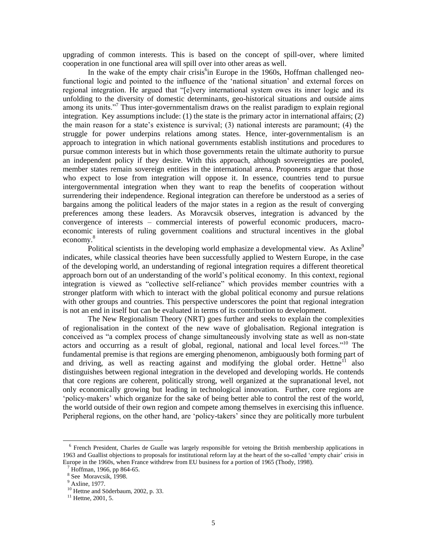upgrading of common interests. This is based on the concept of spill-over, where limited cooperation in one functional area will spill over into other areas as well.

In the wake of the empty chair crisis<sup>6</sup>in Europe in the 1960s, Hoffman challenged neofunctional logic and pointed to the influence of the 'national situation' and external forces on regional integration. He argued that "[e]very international system owes its inner logic and its unfolding to the diversity of domestic determinants, geo-historical situations and outside aims among its units."<sup>7</sup> Thus inter-governmentalism draws on the realist paradigm to explain regional integration. Key assumptions include: (1) the state is the primary actor in international affairs; (2) the main reason for a state"s existence is survival; (3) national interests are paramount; (4) the struggle for power underpins relations among states. Hence, inter-governmentalism is an approach to integration in which national governments establish institutions and procedures to pursue common interests but in which those governments retain the ultimate authority to pursue an independent policy if they desire. With this approach, although sovereignties are pooled, member states remain sovereign entities in the international arena. Proponents argue that those who expect to lose from integration will oppose it. In essence, countries tend to pursue intergovernmental integration when they want to reap the benefits of cooperation without surrendering their independence. Regional integration can therefore be understood as a series of bargains among the political leaders of the major states in a region as the result of converging preferences among these leaders. As Moravcsik observes, integration is advanced by the convergence of interests – commercial interests of powerful economic producers, macroeconomic interests of ruling government coalitions and structural incentives in the global economy.<sup>8</sup>

Political scientists in the developing world emphasize a developmental view. As  $Axiine^9$ indicates, while classical theories have been successfully applied to Western Europe, in the case of the developing world, an understanding of regional integration requires a different theoretical approach born out of an understanding of the world"s political economy. In this context, regional integration is viewed as "collective self-reliance" which provides member countries with a stronger platform with which to interact with the global political economy and pursue relations with other groups and countries. This perspective underscores the point that regional integration is not an end in itself but can be evaluated in terms of its contribution to development.

The New Regionalism Theory (NRT) goes further and seeks to explain the complexities of regionalisation in the context of the new wave of globalisation. Regional integration is conceived as "a complex process of change simultaneously involving state as well as non-state actors and occurring as a result of global, regional, national and local level forces."<sup>10</sup> The fundamental premise is that regions are emerging phenomenon, ambiguously both forming part of and driving, as well as reacting against and modifying the global order. Hettne<sup>11</sup> also distinguishes between regional integration in the developed and developing worlds. He contends that core regions are coherent, politically strong, well organized at the supranational level, not only economically growing but leading in technological innovation. Further, core regions are "policy-makers" which organize for the sake of being better able to control the rest of the world, the world outside of their own region and compete among themselves in exercising this influence. Peripheral regions, on the other hand, are "policy-takers" since they are politically more turbulent

l

<sup>&</sup>lt;sup>6</sup> French President, Charles de Gualle was largely responsible for vetoing the British membership applications in 1963 and Guallist objections to proposals for institutional reform lay at the heart of the so-called "empty chair" crisis in Europe in the 1960s, when France withdrew from EU business for a portion of 1965 (Thody, 1998).

 $7$  Hoffman, 1966, pp 864-65.

<sup>8</sup> See Moravcsik, 1998.

<sup>9</sup> Axline, 1977.

<sup>&</sup>lt;sup>10</sup> Hettne and Söderbaum, 2002, p. 33.

 $11$  Hettne, 2001, 5.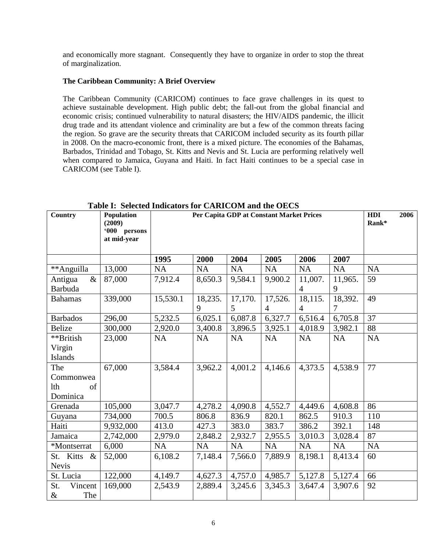and economically more stagnant. Consequently they have to organize in order to stop the threat of marginalization.

# **The Caribbean Community: A Brief Overview**

The Caribbean Community (CARICOM) continues to face grave challenges in its quest to achieve sustainable development. High public debt; the fall-out from the global financial and economic crisis; continued vulnerability to natural disasters; the HIV/AIDS pandemic, the illicit drug trade and its attendant violence and criminality are but a few of the common threats facing the region. So grave are the security threats that CARICOM included security as its fourth pillar in 2008. On the macro-economic front, there is a mixed picture. The economies of the Bahamas, Barbados, Trinidad and Tobago, St. Kitts and Nevis and St. Lucia are performing relatively well when compared to Jamaica, Guyana and Haiti. In fact Haiti continues to be a special case in CARICOM (see Table I).

| Country                                          | Population<br>(2009)<br>'000 persons<br>at mid-year | Per Capita GDP at Constant Market Prices |              |                           |                           | HDI<br>Rank*              | 2006         |           |  |
|--------------------------------------------------|-----------------------------------------------------|------------------------------------------|--------------|---------------------------|---------------------------|---------------------------|--------------|-----------|--|
|                                                  |                                                     | 1995                                     | 2000         | 2004                      | 2005                      | 2006                      | 2007         |           |  |
| **Anguilla                                       | 13,000                                              | <b>NA</b>                                | <b>NA</b>    | NA                        | <b>NA</b>                 | NA                        | <b>NA</b>    | <b>NA</b> |  |
| $\&$<br>Antigua<br>Barbuda                       | 87,000                                              | 7,912.4                                  | 8,650.3      | 9,584.1                   | 9,900.2                   | 11,007.<br>$\overline{4}$ | 11,965.<br>9 | 59        |  |
| <b>Bahamas</b>                                   | 339,000                                             | 15,530.1                                 | 18,235.<br>9 | 17,170.<br>$\mathfrak{H}$ | 17,526.<br>$\overline{4}$ | 18,115.<br>$\overline{4}$ | 18,392.<br>7 | 49        |  |
| <b>Barbados</b>                                  | 296,00                                              | 5,232.5                                  | 6,025.1      | 6,087.8                   | 6,327.7                   | 6,516.4                   | 6,705.8      | 37        |  |
| <b>Belize</b>                                    | 300,000                                             | 2,920.0                                  | 3,400.8      | 3,896.5                   | 3,925.1                   | 4,018.9                   | 3,982.1      | 88        |  |
| **British<br>Virgin<br>Islands                   | 23,000                                              | <b>NA</b>                                | <b>NA</b>    | <b>NA</b>                 | <b>NA</b>                 | NA                        | <b>NA</b>    | <b>NA</b> |  |
| The<br>Commonwea<br><b>lth</b><br>of<br>Dominica | 67,000                                              | 3,584.4                                  | 3,962.2      | 4,001.2                   | 4,146.6                   | 4,373.5                   | 4,538.9      | 77        |  |
| Grenada                                          | 105,000                                             | 3,047.7                                  | 4,278.2      | 4,090.8                   | 4,552.7                   | 4,449.6                   | 4,608.8      | 86        |  |
| Guyana                                           | 734,000                                             | 700.5                                    | 806.8        | 836.9                     | 820.1                     | 862.5                     | 910.3        | 110       |  |
| Haiti                                            | 9,932,000                                           | 413.0                                    | 427.3        | 383.0                     | 383.7                     | 386.2                     | 392.1        | 148       |  |
| Jamaica                                          | 2,742,000                                           | 2,979.0                                  | 2,848.2      | 2,932.7                   | 2,955.5                   | 3,010.3                   | 3,028.4      | 87        |  |
| *Montserrat                                      | 6,000                                               | <b>NA</b>                                | <b>NA</b>    | <b>NA</b>                 | <b>NA</b>                 | <b>NA</b>                 | <b>NA</b>    | NA        |  |
| St. Kitts &<br><b>Nevis</b>                      | 52,000                                              | 6,108.2                                  | 7,148.4      | 7,566.0                   | 7,889.9                   | 8,198.1                   | 8,413.4      | 60        |  |
| St. Lucia                                        | 122,000                                             | 4,149.7                                  | 4,627.3      | 4,757.0                   | 4,985.7                   | 5,127.8                   | 5,127.4      | 66        |  |
| St.<br>Vincent<br>The<br>$\&$                    | 169,000                                             | 2,543.9                                  | 2,889.4      | 3,245.6                   | 3,345.3                   | 3,647.4                   | 3,907.6      | 92        |  |

**Table I: Selected Indicators for CARICOM and the OECS**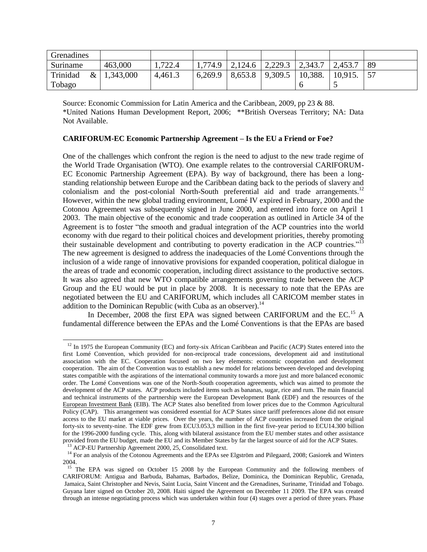| Grenadines       |           |         |         |         |                                     |         |         |    |
|------------------|-----------|---------|---------|---------|-------------------------------------|---------|---------|----|
| Suriname         | 463,000   | .722.4  | 1,774.9 | 2,124.6 | $\vert 2,229.3 \vert 2,343.7 \vert$ |         | 2,453.7 | 89 |
| Trinidad<br>$\&$ | 1,343,000 | 4,461.3 | 6,269.9 | 8,653.8 | 9,309.5                             | 10,388. | 10,915. | 57 |
| Tobago           |           |         |         |         |                                     |         |         |    |

Source: Economic Commission for Latin America and the Caribbean, 2009, pp 23 & 88. \*United Nations Human Development Report, 2006; \*\*British Overseas Territory; NA: Data Not Available.

# **CARIFORUM-EC Economic Partnership Agreement – Is the EU a Friend or Foe?**

One of the challenges which confront the region is the need to adjust to the new trade regime of the World Trade Organisation (WTO). One example relates to the controversial CARIFORUM-EC Economic Partnership Agreement (EPA). By way of background, there has been a longstanding relationship between Europe and the Caribbean dating back to the periods of slavery and colonialism and the post-colonial North-South preferential aid and trade arrangements.<sup>12</sup> However, within the new global trading environment, Lomé IV expired in February, 2000 and the Cotonou Agreement was subsequently signed in June 2000, and entered into force on April 1 2003. The main objective of the economic and trade cooperation as outlined in Article 34 of the Agreement is to foster "the smooth and gradual integration of the ACP countries into the world economy with due regard to their political choices and development priorities, thereby promoting their sustainable development and contributing to poverty eradication in the ACP countries."<sup>13</sup> The new agreement is designed to address the inadequacies of the Lomé Conventions through the inclusion of a wide range of innovative provisions for expanded cooperation, political dialogue in the areas of trade and economic cooperation, including direct assistance to the productive sectors. It was also agreed that new WTO compatible arrangements governing trade between the ACP Group and the EU would be put in place by 2008. It is necessary to note that the EPAs are negotiated between the EU and CARIFORUM, which includes all CARICOM member states in addition to the Dominican Republic (with Cuba as an observer).<sup>14</sup>

In December, 2008 the first EPA was signed between CARIFORUM and the EC.<sup>15</sup> A fundamental difference between the EPAs and the Lomé Conventions is that the EPAs are based

<sup>13</sup> ACP-EU Partnership Agreement 2000, 25, Consolidated text.

<sup>&</sup>lt;sup>12</sup> In 1975 the European Community (EC) and forty-six African Caribbean and Pacific (ACP) States entered into the first Lomé Convention, which provided for non-reciprocal trade concessions, development aid and institutional association with the EC. Cooperation focused on two key elements: economic cooperation and development cooperation. The aim of the Convention was to establish a new model for relations between developed and developing states compatible with the aspirations of the international community towards a more just and more balanced economic order. The Lomé Conventions was one of the North-South cooperation agreements, which was aimed to promote the development of the ACP states. ACP products included items such as bananas, sugar, rice and rum. The main financial and technical instruments of the partnership were the European Development Bank (EDF) and the resources of the [European Investment Bank](http://europa.eu.int/scadplus/leg/en/cig/g4000e.htm#EIB) (EIB). The ACP States also benefited from lower prices due to the Common Agricultural Policy (CAP). This arrangement was considered essential for ACP States since tariff preferences alone did not ensure access to the EU market at viable prices. Over the years, the number of ACP countries increased from the original forty-six to seventy-nine. The EDF grew from ECU3.053,3 million in the first five-year period to ECU14.300 billion for the 1996-2000 funding cycle. This, along with bilateral assistance from the EU member states and other assistance provided from the EU budget, made the EU and its Member States by far the largest source of aid for the ACP States.

<sup>&</sup>lt;sup>14</sup> For an analysis of the Cotonou Agreements and the EPAs see Elgström and Pilegaard, 2008; Gasiorek and Winters 2004.

<sup>&</sup>lt;sup>15</sup> The EPA was signed on October 15 2008 by the European Community and the following members of CARIFORUM: Antigua and Barbuda, Bahamas, Barbados, Belize, Dominica, the Dominican Republic, Grenada, Jamaica, Saint Christopher and Nevis, Saint Lucia, Saint Vincent and the Grenadines, Suriname, Trinidad and Tobago. Guyana later signed on October 20, 2008. Haiti signed the Agreement on December 11 2009. The EPA was created through an intense negotiating process which was undertaken within four (4) stages over a period of three years. Phase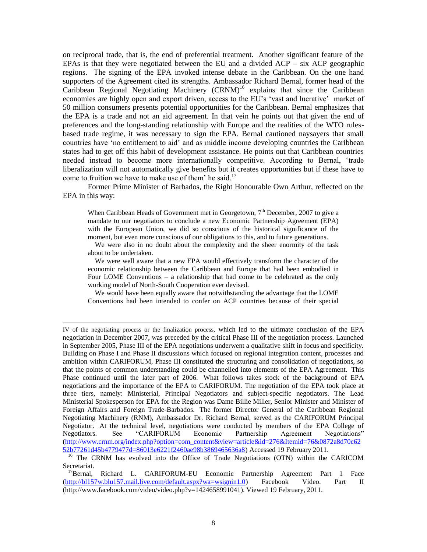on reciprocal trade, that is, the end of preferential treatment. Another significant feature of the EPAs is that they were negotiated between the EU and a divided  $ACP - \text{six } ACP$  geographic regions. The signing of the EPA invoked intense debate in the Caribbean. On the one hand supporters of the Agreement cited its strengths. Ambassador Richard Bernal, former head of the  $Caribbean$  Regional Negotiating Machinery  $(CRNM)^{16}$  explains that since the Caribbean economies are highly open and export driven, access to the EU's 'vast and lucrative' market of 50 million consumers presents potential opportunities for the Caribbean. Bernal emphasizes that the EPA is a trade and not an aid agreement. In that vein he points out that given the end of preferences and the long-standing relationship with Europe and the realities of the WTO rulesbased trade regime, it was necessary to sign the EPA. Bernal cautioned naysayers that small countries have "no entitlement to aid" and as middle income developing countries the Caribbean states had to get off this habit of development assistance. He points out that Caribbean countries needed instead to become more internationally competitive. According to Bernal, "trade liberalization will not automatically give benefits but it creates opportunities but if these have to come to fruition we have to make use of them' he said.<sup>17</sup>

Former Prime Minister of Barbados, the Right Honourable Own Arthur, reflected on the EPA in this way:

When Caribbean Heads of Government met in Georgetown,  $7<sup>th</sup>$  December, 2007 to give a mandate to our negotiators to conclude a new Economic Partnership Agreement (EPA) with the European Union, we did so conscious of the historical significance of the moment, but even more conscious of our obligations to this, and to future generations.

 We were also in no doubt about the complexity and the sheer enormity of the task about to be undertaken.

 We were well aware that a new EPA would effectively transform the character of the economic relationship between the Caribbean and Europe that had been embodied in Four LOME Conventions – a relationship that had come to be celebrated as the only working model of North-South Cooperation ever devised.

 We would have been equally aware that notwithstanding the advantage that the LOME Conventions had been intended to confer on ACP countries because of their special

IV of the negotiating process or the finalization process, which led to the ultimate conclusion of the EPA negotiation in December 2007, was preceded by the critical Phase III of the negotiation process. Launched in September 2005, Phase III of the EPA negotiations underwent a qualitative shift in focus and specificity. Building on Phase I and Phase II discussions which focused on regional integration content, processes and ambition within CARIFORUM, Phase III constituted the structuring and consolidation of negotiations, so that the points of common understanding could be channelled into elements of the EPA Agreement. This Phase continued until the later part of 2006. What follows takes stock of the background of EPA negotiations and the importance of the EPA to CARIFORUM. The negotiation of the EPA took place at three tiers, namely: Ministerial, Principal Negotiators and subject-specific negotiators. The Lead Ministerial Spokesperson for EPA for the Region was Dame Billie Miller, Senior Minister and Minister of Foreign Affairs and Foreign Trade-Barbados. The former Director General of the Caribbean Regional Negotiating Machinery (RNM), Ambassador Dr. Richard Bernal, served as the CARIFORUM Principal Negotiator. At the technical level, negotiations were conducted by members of the EPA College of Negotiators. See "CARIFORUM Economic Partnership Agreement Negotiations" [\(http://www.crnm.org/index.php?option=com\\_content&view=article&id=276&Itemid=76&0872a8d70c62](http://www.crnm.org/index.php?option=com_content&view=article&id=276&Itemid=76&0872a8d70c6252b77261d45b4779477d=86013e6221f2460ae98b3869465636a8) [52b77261d45b4779477d=86013e6221f2460ae98b3869465636a8\)](http://www.crnm.org/index.php?option=com_content&view=article&id=276&Itemid=76&0872a8d70c6252b77261d45b4779477d=86013e6221f2460ae98b3869465636a8) Accessed 19 February 2011.

<sup>16</sup> The CRNM has evolved into the Office of Trade Negotiations (OTN) within the CARICOM Secretariat.

<sup>&</sup>lt;sup>17</sup>Bernal, Richard L. CARIFORUM-EU Economic Partnership Agreement Part 1 Face [\(http://bl157w.blu157.mail.live.com/default.aspx?wa=wsignin1.0\)](http://bl157w.blu157.mail.live.com/default.aspx?wa=wsignin1.0) Facebook Video. Part II (http://www.facebook.com/video/video.php?v=1424658991041). Viewed 19 February, 2011.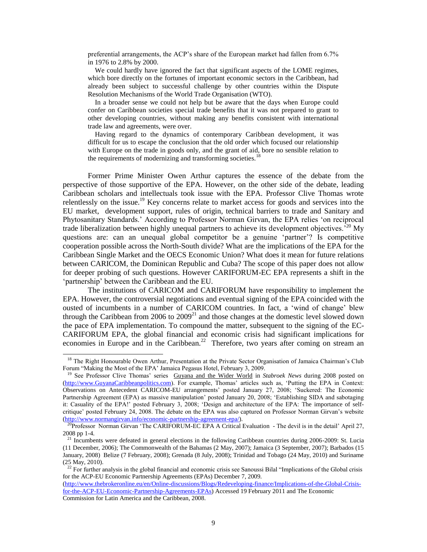preferential arrangements, the ACP"s share of the European market had fallen from 6.7% in 1976 to 2.8% by 2000.

 We could hardly have ignored the fact that significant aspects of the LOME regimes, which bore directly on the fortunes of important economic sectors in the Caribbean, had already been subject to successful challenge by other countries within the Dispute Resolution Mechanisms of the World Trade Organisation (WTO).

 In a broader sense we could not help but be aware that the days when Europe could confer on Caribbean societies special trade benefits that it was not prepared to grant to other developing countries, without making any benefits consistent with international trade law and agreements, were over.

 Having regard to the dynamics of contemporary Caribbean development, it was difficult for us to escape the conclusion that the old order which focused our relationship with Europe on the trade in goods only, and the grant of aid, bore no sensible relation to the requirements of modernizing and transforming societies.<sup>18</sup>

Former Prime Minister Owen Arthur captures the essence of the debate from the perspective of those supportive of the EPA. However, on the other side of the debate, leading Caribbean scholars and intellectuals took issue with the EPA. Professor Clive Thomas wrote relentlessly on the issue.<sup>19</sup> Key concerns relate to market access for goods and services into the EU market, development support, rules of origin, technical barriers to trade and Sanitary and Phytosanitary Standards." According to Professor Norman Girvan, the EPA relies "on reciprocal trade liberalization between highly unequal partners to achieve its development objectives.<sup>520</sup> My questions are: can an unequal global competitor be a genuine "partner"? Is competitive cooperation possible across the North-South divide? What are the implications of the EPA for the Caribbean Single Market and the OECS Economic Union? What does it mean for future relations between CARICOM, the Dominican Republic and Cuba? The scope of this paper does not allow for deeper probing of such questions. However CARIFORUM-EC EPA represents a shift in the "partnership" between the Caribbean and the EU.

The institutions of CARICOM and CARIFORUM have responsibility to implement the EPA. However, the controversial negotiations and eventual signing of the EPA coincided with the ousted of incumbents in a number of CARICOM countries. In fact, a "wind of change" blew through the Caribbean from 2006 to  $2009<sup>21</sup>$  and those changes at the domestic level slowed down the pace of EPA implementation. To compound the matter, subsequent to the signing of the EC-CARIFORUM EPA, the global financial and economic crisis had significant implications for economies in Europe and in the Caribbean.<sup>22</sup> Therefore, two years after coming on stream an

<sup>&</sup>lt;sup>18</sup> The Right Honourable Owen Arthur, Presentation at the Private Sector Organisation of Jamaica Chairman's Club Forum "Making the Most of the EPA' Jamaica Pegasus Hotel, February 3, 2009.

<sup>&</sup>lt;sup>19</sup> See Professor Clive Thomas' series Guyana and the Wider World in *Stabroek News* during 2008 posted on [\(http://www.GuyanaCaribbeanpolitics.com\)](http://www.guyanacaribbeanpolitics.com/). For example, Thomas' articles such as, 'Putting the EPA in Context: Observations on Antecedent CARICOM-EU arrangements" posted January 27, 2008; "Suckered: The Economic Partnership Agreement (EPA) as massive manipulation" posted January 20, 2008; "Establishing SIDA and sabotaging it: Casuality of the EPA!" posted February 3, 2008; "Design and architecture of the EPA: The importance of selfcritique" posted February 24, 2008. The debate on the EPA was also captured on Professor Norman Girvan"s website [\(http://www.normangirvan.info/economic-partnership-agreement-epa/\)](http://www.normangirvan.info/economic-partnership-agreement-epa/).

<sup>&</sup>lt;sup>20</sup>Professor Norman Girvan 'The CARIFORUM-EC EPA A Critical Evaluation - The devil is in the detail' April 27, 2008 pp 1-4.

<sup>&</sup>lt;sup>21</sup> Incumbents were defeated in general elections in the following Caribbean countries during 2006-2009: St. Lucia (11 December, 2006); The Commonwealth of the Bahamas (2 May, 2007); Jamaica (3 September, 2007); Barbados (15 January, 2008) Belize (7 February, 2008); Grenada (8 July, 2008); Trinidad and Tobago (24 May, 2010) and Suriname (25 May, 2010).

 $22$  For further analysis in the global financial and economic crisis see Sanoussi Bilal "Implications of the Global crisis for the ACP-EU Economic Partnership Agreements (EPAs) December 7, 2009.

[<sup>\(</sup>http://www.thebrokeronline.eu/en/Online-discussions/Blogs/Redeveloping-finance/Implications-of-the-Global-Crisis](http://www.thebrokeronline.eu/en/Online-discussions/Blogs/Redeveloping-finance/Implications-of-the-Global-Crisis-for-the-ACP-EU-Economic-Partnership-Agreements-EPAs)[for-the-ACP-EU-Economic-Partnership-Agreements-EPAs\)](http://www.thebrokeronline.eu/en/Online-discussions/Blogs/Redeveloping-finance/Implications-of-the-Global-Crisis-for-the-ACP-EU-Economic-Partnership-Agreements-EPAs) Accessed 19 February 2011 and The Economic Commission for Latin America and the Caribbean, 2008.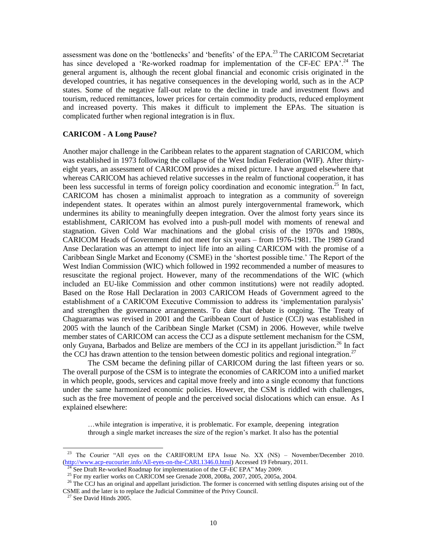assessment was done on the 'bottlenecks' and 'benefits' of the EPA.<sup>23</sup> The CARICOM Secretariat has since developed a 'Re-worked roadmap for implementation of the CF-EC EPA'.<sup>24</sup> The general argument is, although the recent global financial and economic crisis originated in the developed countries, it has negative consequences in the developing world, such as in the ACP states. Some of the negative fall-out relate to the decline in trade and investment flows and tourism, reduced remittances, lower prices for certain commodity products, reduced employment and increased poverty. This makes it difficult to implement the EPAs. The situation is complicated further when regional integration is in flux.

# **CARICOM - A Long Pause?**

Another major challenge in the Caribbean relates to the apparent stagnation of CARICOM, which was established in 1973 following the collapse of the West Indian Federation (WIF). After thirtyeight years, an assessment of CARICOM provides a mixed picture. I have argued elsewhere that whereas CARICOM has achieved relative successes in the realm of functional cooperation, it has been less successful in terms of foreign policy coordination and economic integration.<sup>25</sup> In fact, CARICOM has chosen a minimalist approach to integration as a community of sovereign independent states. It operates within an almost purely intergovernmental framework, which undermines its ability to meaningfully deepen integration. Over the almost forty years since its establishment, CARICOM has evolved into a push-pull model with moments of renewal and stagnation. Given Cold War machinations and the global crisis of the 1970s and 1980s, CARICOM Heads of Government did not meet for six years – from 1976-1981. The 1989 Grand Anse Declaration was an attempt to inject life into an ailing CARICOM with the promise of a Caribbean Single Market and Economy (CSME) in the "shortest possible time." The Report of the West Indian Commission (WIC) which followed in 1992 recommended a number of measures to resuscitate the regional project. However, many of the recommendations of the WIC (which included an EU-like Commission and other common institutions) were not readily adopted. Based on the Rose Hall Declaration in 2003 CARICOM Heads of Government agreed to the establishment of a CARICOM Executive Commission to address its "implementation paralysis" and strengthen the governance arrangements. To date that debate is ongoing. The Treaty of Chaguaramas was revised in 2001 and the Caribbean Court of Justice (CCJ) was established in 2005 with the launch of the Caribbean Single Market (CSM) in 2006. However, while twelve member states of CARICOM can access the CCJ as a dispute settlement mechanism for the CSM, only Guyana, Barbados and Belize are members of the CCJ in its appellant jurisdiction.<sup>26</sup> In fact the CCJ has drawn attention to the tension between domestic politics and regional integration.<sup>27</sup>

The CSM became the defining pillar of CARICOM during the last fifteen years or so. The overall purpose of the CSM is to integrate the economies of CARICOM into a unified market in which people, goods, services and capital move freely and into a single economy that functions under the same harmonized economic policies. However, the CSM is riddled with challenges, such as the free movement of people and the perceived social dislocations which can ensue. As I explained elsewhere:

…while integration is imperative, it is problematic. For example, deepening integration through a single market increases the size of the region"s market. It also has the potential

<sup>&</sup>lt;sup>23</sup> The Courier "All eyes on the CARIFORUM EPA Issue No. XX (NS) – November/December 2010. [\(http://www.acp-eucourier.info/All-eyes-on-the-CARI.1346.0.html\)](http://www.acp-eucourier.info/All-eyes-on-the-CARI.1346.0.html) Accessed 19 February, 2011.

 $^{24}$  See Draft Re-worked Roadmap for implementation of the CF-EC EPA" May 2009.

<sup>&</sup>lt;sup>25</sup> For my earlier works on CARICOM see Grenade 2008, 2008a, 2007, 2005, 2005a, 2004.

<sup>&</sup>lt;sup>26</sup> The CCJ has an original and appellant jurisdiction. The former is concerned with settling disputes arising out of the CSME and the later is to replace the Judicial Committee of the Privy Council.

 $27$  See David Hinds 2005.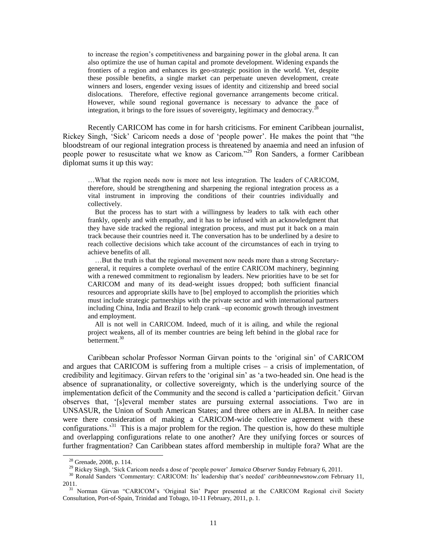to increase the region"s competitiveness and bargaining power in the global arena. It can also optimize the use of human capital and promote development. Widening expands the frontiers of a region and enhances its geo-strategic position in the world. Yet, despite these possible benefits, a single market can perpetuate uneven development, create winners and losers, engender vexing issues of identity and citizenship and breed social dislocations. Therefore, effective regional governance arrangements become critical. However, while sound regional governance is necessary to advance the pace of integration, it brings to the fore issues of sovereignty, legitimacy and democracy.<sup>2</sup>

Recently CARICOM has come in for harsh criticisms. For eminent Caribbean journalist, Rickey Singh, 'Sick' Caricom needs a dose of 'people power'. He makes the point that "the bloodstream of our regional integration process is threatened by anaemia and need an infusion of people power to resuscitate what we know as Caricom."<sup>29</sup> Ron Sanders, a former Caribbean diplomat sums it up this way:

…What the region needs now is more not less integration. The leaders of CARICOM, therefore, should be strengthening and sharpening the regional integration process as a vital instrument in improving the conditions of their countries individually and collectively.

 But the process has to start with a willingness by leaders to talk with each other frankly, openly and with empathy, and it has to be infused with an acknowledgment that they have side tracked the regional integration process, and must put it back on a main track because their countries need it. The conversation has to be underlined by a desire to reach collective decisions which take account of the circumstances of each in trying to achieve benefits of all.

 …But the truth is that the regional movement now needs more than a strong Secretarygeneral, it requires a complete overhaul of the entire CARICOM machinery, beginning with a renewed commitment to regionalism by leaders. New priorities have to be set for CARICOM and many of its dead-weight issues dropped; both sufficient financial resources and appropriate skills have to [be] employed to accomplish the priorities which must include strategic partnerships with the private sector and with international partners including China, India and Brazil to help crank –up economic growth through investment and employment.

 All is not well in CARICOM. Indeed, much of it is ailing, and while the regional project weakens, all of its member countries are being left behind in the global race for betterment.<sup>30</sup>

Caribbean scholar Professor Norman Girvan points to the "original sin" of CARICOM and argues that CARICOM is suffering from a multiple crises – a crisis of implementation, of credibility and legitimacy. Girvan refers to the "original sin" as "a two-headed sin. One head is the absence of supranationality, or collective sovereignty, which is the underlying source of the implementation deficit of the Community and the second is called a "participation deficit." Girvan observes that, "[s]everal member states are pursuing external associations. Two are in UNSASUR, the Union of South American States; and three others are in ALBA. In neither case were there consideration of making a CARICOM-wide collective agreement with these configurations.<sup>31</sup> This is a major problem for the region. The question is, how do these multiple and overlapping configurations relate to one another? Are they unifying forces or sources of further fragmentation? Can Caribbean states afford membership in multiple fora? What are the

 $28$  Grenade, 2008, p. 114.

<sup>29</sup> Rickey Singh, "Sick Caricom needs a dose of "people power" *Jamaica Observer* Sunday February 6, 2011.

<sup>&</sup>lt;sup>30</sup> Ronald Sanders 'Commentary: CARICOM: Its' leadership that's needed' *caribbeannewsnow.com* February 11, 2011.

<sup>&</sup>lt;sup>31</sup> Norman Girvan "CARICOM's 'Original Sin' Paper presented at the CARICOM Regional civil Society Consultation, Port-of-Spain, Trinidad and Tobago, 10-11 February, 2011, p. 1.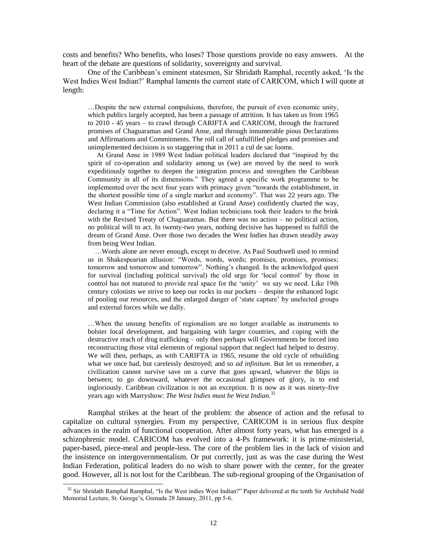costs and benefits? Who benefits, who loses? Those questions provide no easy answers. At the heart of the debate are questions of solidarity, sovereignty and survival.

One of the Caribbean"s eminent statesmen, Sir Shridath Ramphal, recently asked, "Is the West Indies West Indian?" Ramphal laments the current state of CARICOM, which I will quote at length:

…Despite the new external compulsions, therefore, the pursuit of even economic unity, which publics largely accepted, has been a passage of attrition. It has taken us from 1965 to 2010 - 45 years – to crawl through CARIFTA and CARICOM, through the fractured promises of Chaguaramas and Grand Anse, and through innumerable pious Declarations and Affirmations and Commitments. The roll call of unfulfilled pledges and promises and unimplemented decisions is so staggering that in 2011 a cul de sac looms.

 At Grand Anse in 1989 West Indian political leaders declared that "inspired by the spirit of co-operation and solidarity among us (we) are moved by the need to work expeditiously together to deepen the integration process and strengthen the Caribbean Community in all of its dimensions." They agreed a specific work programme to be implemented over the next four years with primacy given "towards the establishment, in the shortest possible time of a single market and economy". That was 22 years ago. The West Indian Commission (also established at Grand Anse) confidently charted the way, declaring it a "Time for Action". West Indian technicians took their leaders to the brink with the Revised Treaty of Chaguaramas. But there was no action – no political action, no political will to act. In twenty-two years, nothing decisive has happened to fulfill the dream of Grand Anse. Over those two decades the West Indies has drawn steadily away from being West Indian.

 …Words alone are never enough, except to deceive. As Paul Southwell used to remind us in Shakespearian allusion: "Words, words, words; promises, promises, promises; tomorrow and tomorrow and tomorrow". Nothing"s changed. In the acknowledged quest for survival (including political survival) the old urge for "local control" by those in control has not matured to provide real space for the "unity" we say we need. Like 19th century colonists we strive to keep our rocks in our pockets – despite the enhanced logic of pooling our resources, and the enlarged danger of "state capture" by unelected groups and external forces while we dally.

…When the unsung benefits of regionalism are no longer available as instruments to bolster local development, and bargaining with larger countries, and coping with the destructive reach of drug trafficking – only then perhaps will Governments be forced into reconstructing those vital elements of regional support that neglect had helped to destroy. We will then, perhaps, as with CARIFTA in 1965, resume the old cycle of rebuilding what we once had, but carelessly destroyed; and so *ad infinitum*. But let us remember, a civilization cannot survive save on a curve that goes upward, whatever the blips in between; to go downward, whatever the occasional glimpses of glory, is to end ingloriously. Caribbean civilization is not an exception. It is now as it was ninety-five years ago with Marryshow: *The West Indies must be West Indian.*<sup>32</sup>

Ramphal strikes at the heart of the problem: the absence of action and the refusal to capitalize on cultural synergies. From my perspective, CARICOM is in serious flux despite advances in the realm of functional cooperation. After almost forty years, what has emerged is a schizophrenic model. CARICOM has evolved into a 4-Ps framework: it is prime-ministerial, paper-based, piece-meal and people-less. The core of the problem lies in the lack of vision and the insistence on intergovernmentalism. Or put correctly, just as was the case during the West Indian Federation, political leaders do no wish to share power with the center, for the greater good. However, all is not lost for the Caribbean. The sub-regional grouping of the Organisation of

<sup>&</sup>lt;sup>32</sup> Sir Shridath Ramphal Ramphal, "Is the West indies West Indian?" Paper delivered at the tenth Sir Archibald Nedd Memorial Lecture, St. George"s, Grenada 28 January, 2011, pp 5-6.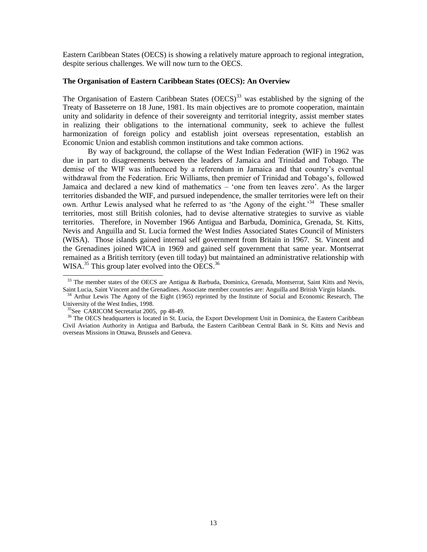Eastern Caribbean States (OECS) is showing a relatively mature approach to regional integration, despite serious challenges. We will now turn to the OECS.

# **The Organisation of Eastern Caribbean States (OECS): An Overview**

The Organisation of Eastern Caribbean States  $(OECS)^{33}$  was established by the signing of the Treaty of Basseterre on 18 June, 1981. Its main objectives are to promote cooperation, maintain unity and solidarity in defence of their sovereignty and territorial integrity, assist member states in realizing their obligations to the international community, seek to achieve the fullest harmonization of foreign policy and establish joint overseas representation, establish an Economic Union and establish common institutions and take common actions.

By way of background, the collapse of the West Indian Federation (WIF) in 1962 was due in part to disagreements between the leaders of Jamaica and Trinidad and Tobago. The demise of the WIF was influenced by a referendum in Jamaica and that country"s eventual withdrawal from the Federation. Eric Williams, then premier of Trinidad and Tobago"s, followed Jamaica and declared a new kind of mathematics – "one from ten leaves zero". As the larger territories disbanded the WIF, and pursued independence, the smaller territories were left on their own. Arthur Lewis analysed what he referred to as 'the Agony of the eight.<sup>34</sup> These smaller territories, most still British colonies, had to devise alternative strategies to survive as viable territories. Therefore, in November 1966 Antigua and Barbuda, Dominica, Grenada, St. Kitts, Nevis and Anguilla and St. Lucia formed the West Indies Associated States Council of Ministers (WISA). Those islands gained internal self government from Britain in 1967. St. Vincent and the Grenadines joined WICA in 1969 and gained self government that same year. Montserrat remained as a British territory (even till today) but maintained an administrative relationship with WISA. $^{35}$  This group later evolved into the OECS. $^{36}$ 

<sup>&</sup>lt;sup>33</sup> The member states of the OECS are Antigua & Barbuda, Dominica, Grenada, Montserrat, Saint Kitts and Nevis, Saint Lucia, Saint Vincent and the Grenadines. Associate member countries are: Anguilla and British Virgin Islands.

<sup>&</sup>lt;sup>34</sup> Arthur Lewis The Agony of the Eight (1965) reprinted by the Institute of Social and Economic Research, The University of the West Indies, 1998.

 $35$ See CARICOM Secretariat 2005, pp 48-49.

<sup>&</sup>lt;sup>36</sup> The OECS headquarters is located in St. Lucia, the Export Development Unit in Dominica, the Eastern Caribbean Civil Aviation Authority in Antigua and Barbuda, the Eastern Caribbean Central Bank in St. Kitts and Nevis and overseas Missions in Ottawa, Brussels and Geneva.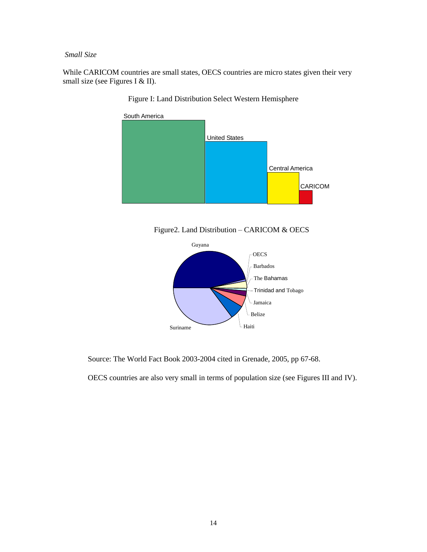*Small Size*

While CARICOM countries are small states, OECS countries are micro states given their very small size (see Figures I & II).



Figure I: Land Distribution Select Western Hemisphere

Figure2. Land Distribution – CARICOM & OECS



Source: The World Fact Book 2003-2004 cited in Grenade, 2005, pp 67-68.

OECS countries are also very small in terms of population size (see Figures III and IV).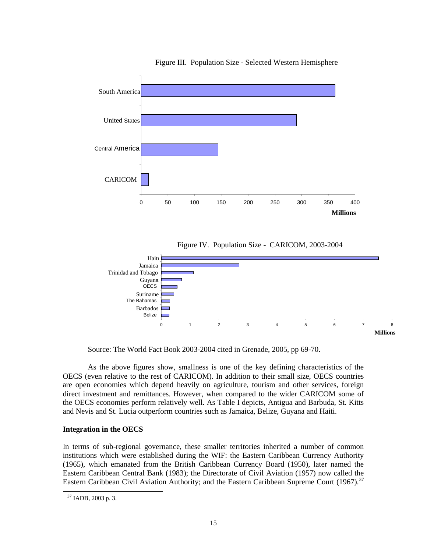

Figure III. Population Size - Selected Western Hemisphere





Source: The World Fact Book 2003-2004 cited in Grenade, 2005, pp 69-70.

As the above figures show, smallness is one of the key defining characteristics of the OECS (even relative to the rest of CARICOM). In addition to their small size, OECS countries are open economies which depend heavily on agriculture, tourism and other services, foreign direct investment and remittances. However, when compared to the wider CARICOM some of the OECS economies perform relatively well. As Table I depicts, Antigua and Barbuda, St. Kitts and Nevis and St. Lucia outperform countries such as Jamaica, Belize, Guyana and Haiti.

# **Integration in the OECS**

In terms of sub-regional governance, these smaller territories inherited a number of common institutions which were established during the WIF: the Eastern Caribbean Currency Authority (1965), which emanated from the British Caribbean Currency Board (1950), later named the Eastern Caribbean Central Bank (1983); the Directorate of Civil Aviation (1957) now called the Eastern Caribbean Civil Aviation Authority; and the Eastern Caribbean Supreme Court (1967).<sup>37</sup>

<sup>37</sup> IADB, 2003 p. 3.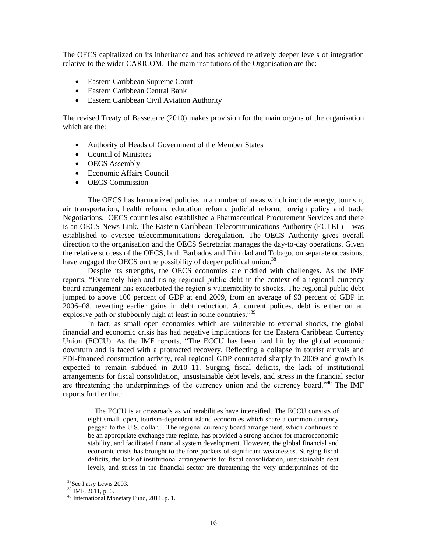The OECS capitalized on its inheritance and has achieved relatively deeper levels of integration relative to the wider CARICOM. The main institutions of the Organisation are the:

- Eastern Caribbean Supreme Court
- Eastern Caribbean Central Bank
- Eastern Caribbean Civil Aviation Authority

The revised Treaty of Basseterre (2010) makes provision for the main organs of the organisation which are the:

- Authority of Heads of Government of the Member States
- Council of Ministers
- OECS Assembly
- Economic Affairs Council
- OECS Commission

The OECS has harmonized policies in a number of areas which include energy, tourism, air transportation, health reform, education reform, judicial reform, foreign policy and trade Negotiations. OECS countries also established a Pharmaceutical Procurement Services and there is an OECS News-Link. The Eastern Caribbean Telecommunications Authority (ECTEL) – was established to oversee telecommunications deregulation. The OECS Authority gives overall direction to the organisation and the OECS Secretariat manages the day-to-day operations. Given the relative success of the OECS, both Barbados and Trinidad and Tobago, on separate occasions, have engaged the OECS on the possibility of deeper political union.<sup>38</sup>

Despite its strengths, the OECS economies are riddled with challenges. As the IMF reports, "Extremely high and rising regional public debt in the context of a regional currency board arrangement has exacerbated the region"s vulnerability to shocks. The regional public debt jumped to above 100 percent of GDP at end 2009, from an average of 93 percent of GDP in 2006–08, reverting earlier gains in debt reduction. At current polices, debt is either on an explosive path or stubbornly high at least in some countries."<sup>39</sup>

In fact, as small open economies which are vulnerable to external shocks, the global financial and economic crisis has had negative implications for the Eastern Caribbean Currency Union (ECCU). As the IMF reports, "The ECCU has been hard hit by the global economic downturn and is faced with a protracted recovery. Reflecting a collapse in tourist arrivals and FDI-financed construction activity, real regional GDP contracted sharply in 2009 and growth is expected to remain subdued in 2010–11. Surging fiscal deficits, the lack of institutional arrangements for fiscal consolidation, unsustainable debt levels, and stress in the financial sector are threatening the underpinnings of the currency union and the currency board."<sup>40</sup> The IMF reports further that:

 The ECCU is at crossroads as vulnerabilities have intensified. The ECCU consists of eight small, open, tourism-dependent island economies which share a common currency pegged to the U.S. dollar… The regional currency board arrangement, which continues to be an appropriate exchange rate regime, has provided a strong anchor for macroeconomic stability, and facilitated financial system development. However, the global financial and economic crisis has brought to the fore pockets of significant weaknesses. Surging fiscal deficits, the lack of institutional arrangements for fiscal consolidation, unsustainable debt levels, and stress in the financial sector are threatening the very underpinnings of the

l

<sup>&</sup>lt;sup>38</sup>See Patsy Lewis 2003.

<sup>39</sup> IMF, 2011, p. 6.

<sup>40</sup> International Monetary Fund, 2011, p. 1.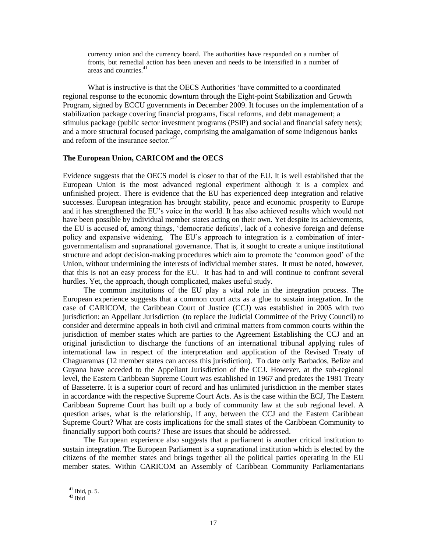currency union and the currency board. The authorities have responded on a number of fronts, but remedial action has been uneven and needs to be intensified in a number of areas and countries.<sup>41</sup>

What is instructive is that the OECS Authorities "have committed to a coordinated regional response to the economic downturn through the Eight-point Stabilization and Growth Program, signed by ECCU governments in December 2009. It focuses on the implementation of a stabilization package covering financial programs, fiscal reforms, and debt management; a stimulus package (public sector investment programs (PSIP) and social and financial safety nets); and a more structural focused package, comprising the amalgamation of some indigenous banks and reform of the insurance sector.<sup> $4$ </sup>

### **The European Union, CARICOM and the OECS**

Evidence suggests that the OECS model is closer to that of the EU. It is well established that the European Union is the most advanced regional experiment although it is a complex and unfinished project. There is evidence that the EU has experienced deep integration and relative successes. European integration has brought stability, peace and economic prosperity to Europe and it has strengthened the EU"s voice in the world. It has also achieved results which would not have been possible by individual member states acting on their own. Yet despite its achievements, the EU is accused of, among things, "democratic deficits", lack of a cohesive foreign and defense policy and expansive widening. The EU"s approach to integration is a combination of intergovernmentalism and supranational governance. That is, it sought to create a unique institutional structure and adopt decision-making procedures which aim to promote the "common good" of the Union, without undermining the interests of individual member states. It must be noted, however, that this is not an easy process for the EU. It has had to and will continue to confront several hurdles. Yet, the approach, though complicated, makes useful study.

The common institutions of the EU play a vital role in the integration process. The European experience suggests that a common court acts as a glue to sustain integration. In the case of CARICOM, the Caribbean Court of Justice (CCJ) was established in 2005 with two jurisdiction: an Appellant Jurisdiction (to replace the Judicial Committee of the Privy Council) to consider and determine appeals in both civil and criminal matters from common courts within the jurisdiction of member states which are parties to the Agreement Establishing the CCJ and an original jurisdiction to discharge the functions of an international tribunal applying rules of international law in respect of the interpretation and application of the Revised Treaty of Chaguaramas (12 member states can access this jurisdiction). To date only Barbados, Belize and Guyana have acceded to the Appellant Jurisdiction of the CCJ. However, at the sub-regional level, the Eastern Caribbean Supreme Court was established in 1967 and predates the 1981 Treaty of Basseterre. It is a superior court of record and has unlimited jurisdiction in the member states in accordance with the respective Supreme Court Acts. As is the case within the ECJ, The Eastern Caribbean Supreme Court has built up a body of community law at the sub regional level. A question arises, what is the relationship, if any, between the CCJ and the Eastern Caribbean Supreme Court? What are costs implications for the small states of the Caribbean Community to financially support both courts? These are issues that should be addressed.

The European experience also suggests that a parliament is another critical institution to sustain integration. The European Parliament is a supranational institution which is elected by the citizens of the member states and brings together all the political parties operating in the EU member states. Within CARICOM an Assembly of Caribbean Community Parliamentarians

<sup>41</sup> Ibid, p. 5.

 $^{42}$  Ibid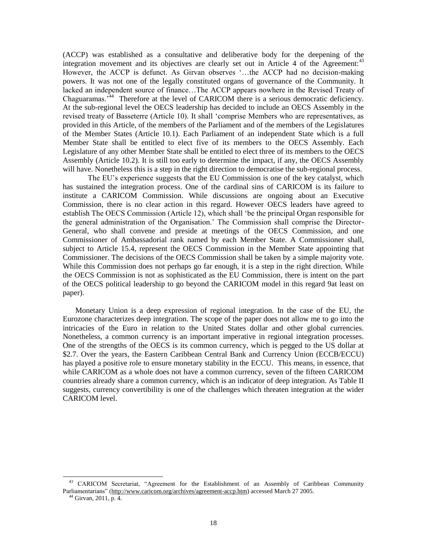(ACCP) was established as a consultative and deliberative body for the deepening of the integration movement and its objectives are clearly set out in Article 4 of the Agreement: $43$ However, the ACCP is defunct. As Girvan observes "…the ACCP had no decision-making powers. It was not one of the legally constituted organs of governance of the Community. It lacked an independent source of finance…The ACCP appears nowhere in the Revised Treaty of Chaguaramas.<sup>344</sup> Therefore at the level of CARICOM there is a serious democratic deficiency. At the sub-regional level the OECS leadership has decided to include an OECS Assembly in the revised treaty of Basseterre (Article 10). It shall "comprise Members who are representatives, as provided in this Article, of the members of the Parliament and of the members of the Legislatures of the Member States (Article 10.1). Each Parliament of an independent State which is a full Member State shall be entitled to elect five of its members to the OECS Assembly. Each Legislature of any other Member State shall be entitled to elect three of its members to the OECS Assembly (Article 10.2). It is still too early to determine the impact, if any, the OECS Assembly will have. Nonetheless this is a step in the right direction to democratise the sub-regional process.

The EU"s experience suggests that the EU Commission is one of the key catalyst, which has sustained the integration process. One of the cardinal sins of CARICOM is its failure to institute a CARICOM Commission. While discussions are ongoing about an Executive Commission, there is no clear action in this regard. However OECS leaders have agreed to establish The OECS Commission (Article 12), which shall "be the principal Organ responsible for the general administration of the Organisation." The Commission shall comprise the Director-General, who shall convene and preside at meetings of the OECS Commission, and one Commissioner of Ambassadorial rank named by each Member State. A Commissioner shall, subject to Article 15.4, represent the OECS Commission in the Member State appointing that Commissioner. The decisions of the OECS Commission shall be taken by a simple majority vote. While this Commission does not perhaps go far enough, it is a step in the right direction. While the OECS Commission is not as sophisticated as the EU Commission, there is intent on the part of the OECS political leadership to go beyond the CARICOM model in this regard 9at least on paper).

Monetary Union is a deep expression of regional integration. In the case of the EU, the Eurozone characterizes deep integration. The scope of the paper does not allow me to go into the intricacies of the Euro in relation to the United States dollar and other global currencies. Nonetheless, a common currency is an important imperative in regional integration processes. One of the strengths of the OECS is its common currency, which is pegged to the US dollar at \$2.7. Over the years, the Eastern Caribbean Central Bank and Currency Union (ECCB/ECCU) has played a positive role to ensure monetary stability in the ECCU. This means, in essence, that while CARICOM as a whole does not have a common currency, seven of the fifteen CARICOM countries already share a common currency, which is an indicator of deep integration. As Table II suggests, currency convertibility is one of the challenges which threaten integration at the wider CARICOM level.

l

<sup>43</sup> CARICOM Secretariat, "Agreement for the Establishment of an Assembly of Caribbean Community Parliamentarians" [\(http://www.caricom.org/archives/agreement-accp.htm\)](http://www.caricom.org/archives/agreement-accp.htm) accessed March 27 2005.

<sup>44</sup> Girvan, 2011, p. 4.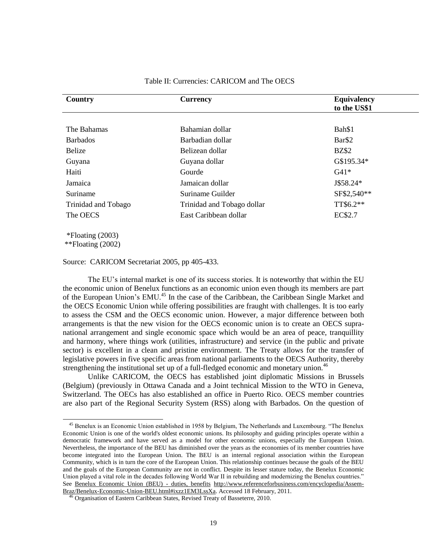| Country             | <b>Currency</b>            | <b>Equivalency</b><br>to the US\$1 |  |  |
|---------------------|----------------------------|------------------------------------|--|--|
|                     |                            |                                    |  |  |
| The Bahamas         | Bahamian dollar            | Bah\$1                             |  |  |
| <b>Barbados</b>     | Barbadian dollar           | Bar\$2                             |  |  |
| Belize              | Belizean dollar            | <b>BZ\$2</b>                       |  |  |
| Guyana              | Guyana dollar              | G\$195.34*                         |  |  |
| Haiti               | Gourde                     | $G41*$                             |  |  |
| Jamaica             | Jamaican dollar            | J\$58.24*                          |  |  |
| Suriname            | Suriname Guilder           | SF\$2,540**                        |  |  |
| Trinidad and Tobago | Trinidad and Tobago dollar | TT\$6.2**                          |  |  |
| The OECS            | East Caribbean dollar      | EC\$2.7                            |  |  |

# Table II: Currencies: CARICOM and The OECS

\*\*Floating (2002)

 $\overline{a}$ 

Source: CARICOM Secretariat 2005, pp 405-433.

The EU's internal market is one of its success stories. It is noteworthy that within the EU the economic union of Benelux functions as an economic union even though its members are part of the European Union's EMU.<sup>45</sup> In the case of the Caribbean, the Caribbean Single Market and the OECS Economic Union while offering possibilities are fraught with challenges. It is too early to assess the CSM and the OECS economic union. However, a major difference between both arrangements is that the new vision for the OECS economic union is to create an OECS supranational arrangement and single economic space which would be an area of peace, tranquillity and harmony, where things work (utilities, infrastructure) and service (in the public and private sector) is excellent in a clean and pristine environment. The Treaty allows for the transfer of legislative powers in five specific areas from national parliaments to the OECS Authority, thereby strengthening the institutional set up of a full-fledged economic and monetary union.<sup>46</sup>

Unlike CARICOM, the OECS has established joint diplomatic Missions in Brussels (Belgium) (previously in Ottawa Canada and a Joint technical Mission to the WTO in Geneva, Switzerland. The OECs has also established an office in Puerto Rico. OECS member countries are also part of the Regional Security System (RSS) along with Barbados. On the question of

<sup>45</sup> Benelux is an Economic Union established in 1958 by Belgium, The Netherlands and Luxembourg. "The Benelux Economic Union is one of the world's oldest economic unions. Its philosophy and guiding principles operate within a democratic framework and have served as a model for other economic unions, especially the European Union. Nevertheless, the importance of the BEU has diminished over the years as the economies of its member countries have become integrated into the European Union. The BEU is an internal regional association within the European Community, which is in turn the core of the European Union. This relationship continues because the goals of the BEU and the goals of the European Community are not in conflict. Despite its lesser stature today, the Benelux Economic Union played a vital role in the decades following World War II in rebuilding and modernizing the Benelux countries." See [Benelux Economic Union \(BEU\) -](http://www.referenceforbusiness.com/encyclopedia/Assem-Braz/Benelux-Economic-Union-BEU.html#ixzz1EM3LssXa) duties, benefits [http://www.referenceforbusiness.com/encyclopedia/Assem-](http://www.referenceforbusiness.com/encyclopedia/Assem-Braz/Benelux-Economic-Union-BEU.html#ixzz1EM3LssXa)[Braz/Benelux-Economic-Union-BEU.html#ixzz1EM3LssXa.](http://www.referenceforbusiness.com/encyclopedia/Assem-Braz/Benelux-Economic-Union-BEU.html#ixzz1EM3LssXa) Accessed 18 February, 2011.

Organisation of Eastern Caribbean States, Revised Treaty of Basseterre, 2010.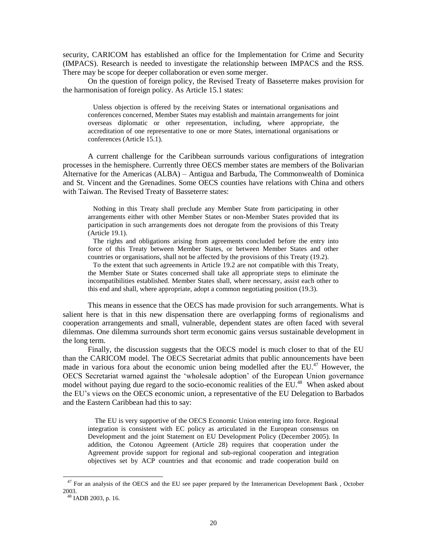security, CARICOM has established an office for the Implementation for Crime and Security (IMPACS). Research is needed to investigate the relationship between IMPACS and the RSS. There may be scope for deeper collaboration or even some merger.

On the question of foreign policy, the Revised Treaty of Basseterre makes provision for the harmonisation of foreign policy. As Article 15.1 states:

 Unless objection is offered by the receiving States or international organisations and conferences concerned, Member States may establish and maintain arrangements for joint overseas diplomatic or other representation, including, where appropriate, the accreditation of one representative to one or more States, international organisations or conferences (Article 15.1).

A current challenge for the Caribbean surrounds various configurations of integration processes in the hemisphere. Currently three OECS member states are members of the Bolivarian Alternative for the Americas (ALBA) – Antigua and Barbuda, The Commonwealth of Dominica and St. Vincent and the Grenadines. Some OECS counties have relations with China and others with Taiwan. The Revised Treaty of Basseterre states:

 Nothing in this Treaty shall preclude any Member State from participating in other arrangements either with other Member States or non-Member States provided that its participation in such arrangements does not derogate from the provisions of this Treaty (Article 19.1).

 The rights and obligations arising from agreements concluded before the entry into force of this Treaty between Member States, or between Member States and other countries or organisations, shall not be affected by the provisions of this Treaty (19.2).

 To the extent that such agreements in Article 19.2 are not compatible with this Treaty, the Member State or States concerned shall take all appropriate steps to eliminate the incompatibilities established. Member States shall, where necessary, assist each other to this end and shall, where appropriate, adopt a common negotiating position (19.3).

This means in essence that the OECS has made provision for such arrangements. What is salient here is that in this new dispensation there are overlapping forms of regionalisms and cooperation arrangements and small, vulnerable, dependent states are often faced with several dilemmas. One dilemma surrounds short term economic gains versus sustainable development in the long term.

Finally, the discussion suggests that the OECS model is much closer to that of the EU than the CARICOM model. The OECS Secretariat admits that public announcements have been made in various fora about the economic union being modelled after the  $EU^{47}$ . However, the OECS Secretariat warned against the "wholesale adoption" of the European Union governance model without paying due regard to the socio-economic realities of the EU.<sup>48</sup> When asked about the EU"s views on the OECS economic union, a representative of the EU Delegation to Barbados and the Eastern Caribbean had this to say:

 The EU is very supportive of the OECS Economic Union entering into force. Regional integration is consistent with EC policy as articulated in the European consensus on Development and the joint Statement on EU Development Policy (December 2005). In addition, the Cotonou Agreement (Article 28) requires that cooperation under the Agreement provide support for regional and sub-regional cooperation and integration objectives set by ACP countries and that economic and trade cooperation build on

l

<sup>&</sup>lt;sup>47</sup> For an analysis of the OECS and the EU see paper prepared by the Interamerican Development Bank, October 2003.

<sup>48</sup> IADB 2003, p. 16.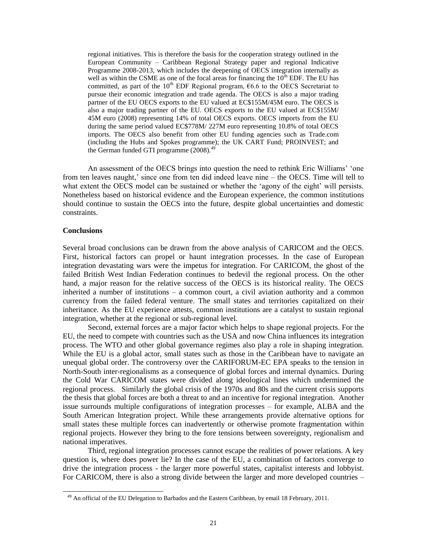regional initiatives. This is therefore the basis for the cooperation strategy outlined in the European Community – Caribbean Regional Strategy paper and regional Indicative Programme 2008-2013, which includes the deepening of OECS integration internally as well as within the CSME as one of the focal areas for financing the  $10^{th}$  EDF. The EU has committed, as part of the 10<sup>th</sup> EDF Regional program,  $66.6$  to the OECS Secretariat to pursue their economic integration and trade agenda. The OECS is also a major trading partner of the EU OECS exports to the EU valued at EC\$155M/45M euro. The OECS is also a major trading partner of the EU. OECS exports to the EU valued at EC\$155M/ 45M euro (2008) representing 14% of total OECS exports. OECS imports from the EU during the same period valued EC\$778M/ 227M euro representing 10.8% of total OECS imports. The OECS also benefit from other EU funding agencies such as Trade.com (including the Hubs and Spokes programme); the UK CART Fund; PROINVEST; and the German funded GTI programme (2008).<sup>49</sup>

An assessment of the OECS brings into question the need to rethink Eric Williams" "one from ten leaves naught,' since one from ten did indeed leave nine – the OECS. Time will tell to what extent the OECS model can be sustained or whether the 'agony of the eight' will persists. Nonetheless based on historical evidence and the European experience, the common institutions should continue to sustain the OECS into the future, despite global uncertainties and domestic constraints.

# **Conclusions**

 $\overline{a}$ 

Several broad conclusions can be drawn from the above analysis of CARICOM and the OECS. First, historical factors can propel or haunt integration processes. In the case of European integration devastating wars were the impetus for integration. For CARICOM, the ghost of the failed British West Indian Federation continues to bedevil the regional process. On the other hand, a major reason for the relative success of the OECS is its historical reality. The OECS inherited a number of institutions – a common court, a civil aviation authority and a common currency from the failed federal venture. The small states and territories capitalized on their inheritance. As the EU experience attests, common institutions are a catalyst to sustain regional integration, whether at the regional or sub-regional level.

Second, external forces are a major factor which helps to shape regional projects. For the EU, the need to compete with countries such as the USA and now China influences its integration process. The WTO and other global governance regimes also play a role in shaping integration. While the EU is a global actor, small states such as those in the Caribbean have to navigate an unequal global order. The controversy over the CARIFORUM-EC EPA speaks to the tension in North-South inter-regionalisms as a consequence of global forces and internal dynamics. During the Cold War CARICOM states were divided along ideological lines which undermined the regional process. Similarly the global crisis of the 1970s and 80s and the current crisis supports the thesis that global forces are both a threat to and an incentive for regional integration. Another issue surrounds multiple configurations of integration processes – for example, ALBA and the South American Integration project. While these arrangements provide alternative options for small states these multiple forces can inadvertently or otherwise promote fragmentation within regional projects. However they bring to the fore tensions between sovereignty, regionalism and national imperatives.

Third, regional integration processes cannot escape the realities of power relations. A key question is, where does power lie? In the case of the EU, a combination of factors converge to drive the integration process - the larger more powerful states, capitalist interests and lobbyist. For CARICOM, there is also a strong divide between the larger and more developed countries –

<sup>49</sup> An official of the EU Delegation to Barbados and the Eastern Caribbean, by email 18 February, 2011.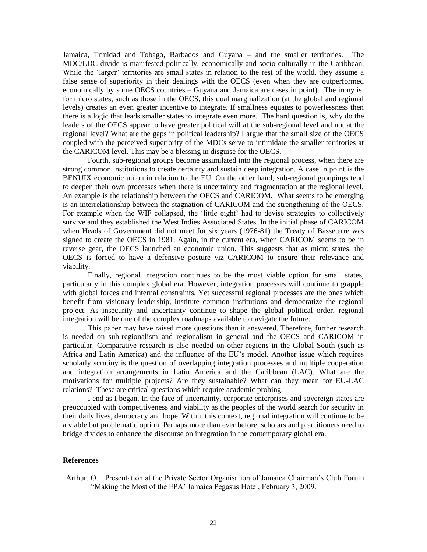Jamaica, Trinidad and Tobago, Barbados and Guyana – and the smaller territories. The MDC/LDC divide is manifested politically, economically and socio-culturally in the Caribbean. While the 'larger' territories are small states in relation to the rest of the world, they assume a false sense of superiority in their dealings with the OECS (even when they are outperformed economically by some OECS countries – Guyana and Jamaica are cases in point). The irony is, for micro states, such as those in the OECS, this dual marginalization (at the global and regional levels) creates an even greater incentive to integrate. If smallness equates to powerlessness then there is a logic that leads smaller states to integrate even more. The hard question is, why do the leaders of the OECS appear to have greater political will at the sub-regional level and not at the regional level? What are the gaps in political leadership? I argue that the small size of the OECS coupled with the perceived superiority of the MDCs serve to intimidate the smaller territories at the CARICOM level. This may be a blessing in disguise for the OECS.

Fourth, sub-regional groups become assimilated into the regional process, when there are strong common institutions to create certainty and sustain deep integration. A case in point is the BENUIX economic union in relation to the EU. On the other hand, sub-regional groupings tend to deepen their own processes when there is uncertainty and fragmentation at the regional level. An example is the relationship between the OECS and CARICOM. What seems to be emerging is an interrelationship between the stagnation of CARICOM and the strengthening of the OECS. For example when the WIF collapsed, the 'little eight' had to devise strategies to collectively survive and they established the West Indies Associated States. In the initial phase of CARICOM when Heads of Government did not meet for six years (1976-81) the Treaty of Basseterre was signed to create the OECS in 1981. Again, in the current era, when CARICOM seems to be in reverse gear, the OECS launched an economic union. This suggests that as micro states, the OECS is forced to have a defensive posture viz CARICOM to ensure their relevance and viability.

Finally, regional integration continues to be the most viable option for small states, particularly in this complex global era. However, integration processes will continue to grapple with global forces and internal constraints. Yet successful regional processes are the ones which benefit from visionary leadership, institute common institutions and democratize the regional project. As insecurity and uncertainty continue to shape the global political order, regional integration will be one of the complex roadmaps available to navigate the future.

This paper may have raised more questions than it answered. Therefore, further research is needed on sub-regionalism and regionalism in general and the OECS and CARICOM in particular. Comparative research is also needed on other regions in the Global South (such as Africa and Latin America) and the influence of the EU"s model. Another issue which requires scholarly scrutiny is the question of overlapping integration processes and multiple cooperation and integration arrangements in Latin America and the Caribbean (LAC). What are the motivations for multiple projects? Are they sustainable? What can they mean for EU-LAC relations? These are critical questions which require academic probing.

I end as I began. In the face of uncertainty, corporate enterprises and sovereign states are preoccupied with competitiveness and viability as the peoples of the world search for security in their daily lives, democracy and hope. Within this context, regional integration will continue to be a viable but problematic option. Perhaps more than ever before, scholars and practitioners need to bridge divides to enhance the discourse on integration in the contemporary global era.

# **References**

Arthur, O. Presentation at the Private Sector Organisation of Jamaica Chairman"s Club Forum "Making the Most of the EPA' Jamaica Pegasus Hotel, February 3, 2009.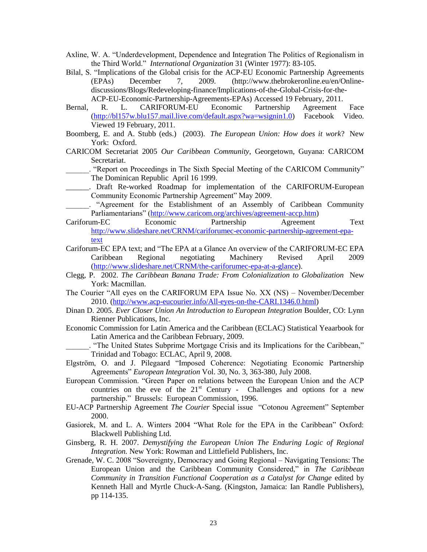- Axline, W. A. "Underdevelopment, Dependence and Integration The Politics of Regionalism in the Third World." *International Organization* 31 (Winter 1977): 83-105.
- Bilal, S. "Implications of the Global crisis for the ACP-EU Economic Partnership Agreements (EPAs) December 7, 2009. (http://www.thebrokeronline.eu/en/Onlinediscussions/Blogs/Redeveloping-finance/Implications-of-the-Global-Crisis-for-the-ACP-EU-Economic-Partnership-Agreements-EPAs) Accessed 19 February, 2011.
- Bernal, R. L. CARIFORUM-EU Economic Partnership Agreement Face [\(http://bl157w.blu157.mail.live.com/default.aspx?wa=wsignin1.0\)](http://bl157w.blu157.mail.live.com/default.aspx?wa=wsignin1.0) Facebook Video. Viewed 19 February, 2011.
- Boomberg, E. and A. Stubb (eds.) (2003). *The European Union: How does it work*? New York: Oxford.
- CARICOM Secretariat 2005 *Our Caribbean Community*, Georgetown, Guyana: CARICOM Secretariat.
	- \_\_\_\_\_\_. "Report on Proceedings in The Sixth Special Meeting of the CARICOM Community" The Dominican Republic April 16 1999.
- \_\_\_\_\_\_. Draft Re-worked Roadmap for implementation of the CARIFORUM-European Community Economic Partnership Agreement" May 2009.
- "Agreement for the Establishment of an Assembly of Caribbean Community Parliamentarians" [\(http://www.caricom.org/archives/agreement-accp.htm\)](http://www.caricom.org/archives/agreement-accp.htm)
- Cariforum-EC Economic Partnership Agreement Text [http://www.slideshare.net/CRNM/cariforumec-economic-partnership-agreement-epa](http://www.slideshare.net/CRNM/cariforumec-economic-partnership-agreement-epa-text)[text](http://www.slideshare.net/CRNM/cariforumec-economic-partnership-agreement-epa-text)
- Cariforum-EC EPA text; and "The EPA at a Glance An overview of the CARIFORUM-EC EPA Caribbean Regional negotiating Machinery Revised April 2009 [\(http://www.slideshare.net/CRNM/the-cariforumec-epa-at-a-glance\)](http://www.slideshare.net/CRNM/the-cariforumec-epa-at-a-glance).
- Clegg, P. 2002. *The Caribbean Banana Trade: From Colonialization to Globalization* New York: Macmillan.
- The Courier "All eyes on the CARIFORUM EPA Issue No. XX (NS) November/December 2010. [\(http://www.acp-eucourier.info/All-eyes-on-the-CARI.1346.0.html\)](http://www.acp-eucourier.info/All-eyes-on-the-CARI.1346.0.html)
- Dinan D. 2005. *Ever Closer Union An Introduction to European Integration* Boulder, CO: Lynn Rienner Publications, Inc.
- Economic Commission for Latin America and the Caribbean (ECLAC) Statistical Yeaarbook for Latin America and the Caribbean February, 2009.
- \_\_\_\_\_\_. "The United States Subprime Mortgage Crisis and its Implications for the Caribbean," Trinidad and Tobago: ECLAC, April 9, 2008.
- Elgström, O. and J. Pilegaard "Imposed Coherence: Negotiating Economic Partnership Agreements" *European Integration* Vol. 30, No. 3, 363-380, July 2008.
- European Commission. "Green Paper on relations between the European Union and the ACP countries on the eve of the  $21<sup>st</sup>$  Century - Challenges and options for a new partnership." Brussels: European Commission, 1996.
- EU-ACP Partnership Agreement *The Courier* Special issue "Cotonou Agreement" September 2000.
- Gasiorek, M. and L. A. Winters 2004 "What Role for the EPA in the Caribbean" Oxford: Blackwell Publishing Ltd.
- Ginsberg, R. H. 2007. *Demystifying the European Union The Enduring Logic of Regional Integration.* New York: Rowman and Littlefield Publishers, Inc.
- Grenade, W. C. 2008 "Sovereignty, Democracy and Going Regional Navigating Tensions: The European Union and the Caribbean Community Considered," in *The Caribbean Community in Transition Functional Cooperation as a Catalyst for Change* edited by Kenneth Hall and Myrtle Chuck-A-Sang. (Kingston, Jamaica: Ian Randle Publishers), pp 114-135.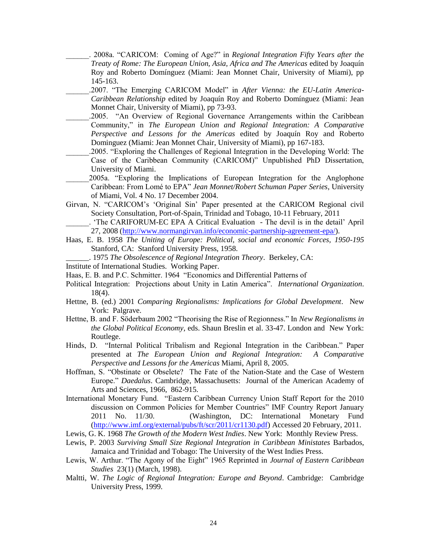\_\_\_\_\_\_. 2008a. "CARICOM: Coming of Age?" in *Regional Integration Fifty Years after the Treaty of Rome: The European Union, Asia, Africa and The Americas* edited by Joaquín Roy and Roberto Domínguez (Miami: Jean Monnet Chair, University of Miami), pp 145-163.

\_\_\_\_\_\_.2007. "The Emerging CARICOM Model" in *After Vienna: the EU-Latin America-Caribbean Relationship* edited by Joaquín Roy and Roberto Domínguez (Miami: Jean Monnet Chair, University of Miami), pp 73-93.

- \_\_\_\_\_\_.2005. "An Overview of Regional Governance Arrangements within the Caribbean Community," in *The European Union and Regional Integration: A Comparative Perspective and Lessons for the Americas* edited by Joaquín Roy and Roberto Dominguez (Miami: Jean Monnet Chair, University of Miami), pp 167-183.
- \_\_\_\_\_\_.2005. "Exploring the Challenges of Regional Integration in the Developing World: The Case of the Caribbean Community (CARICOM)" Unpublished PhD Dissertation, University of Miami.
- \_\_\_\_\_\_2005a. "Exploring the Implications of European Integration for the Anglophone Caribbean: From Lomé to EPA" *Jean Monnet/Robert Schuman Paper Series*, University of Miami, Vol. 4 No. 17 December 2004.
- Girvan, N. "CARICOM"s "Original Sin" Paper presented at the CARICOM Regional civil Society Consultation, Port-of-Spain, Trinidad and Tobago, 10-11 February, 2011
	- \_\_\_\_\_\_. "The CARIFORUM-EC EPA A Critical Evaluation The devil is in the detail" April 27, 2008 [\(http://www.normangirvan.info/economic-partnership-agreement-epa/\)](http://www.normangirvan.info/economic-partnership-agreement-epa/).
- Haas, E. B. 1958 *The Uniting of Europe: Political, social and economic Forces, 1950-195* Stanford, CA: Stanford University Press, 1958.
	- \_\_\_\_\_\_. 1975 *The Obsolescence of Regional Integration Theory*. Berkeley, CA:
- Institute of International Studies. Working Paper.
- Haas, E. B. and P.C. Schmitter. 1964 "Economics and Differential Patterns of
- Political Integration: Projections about Unity in Latin America". *International Organization*. 18(4).
- Hettne, B. (ed.) 2001 *Comparing Regionalisms: Implications for Global Development*. New York: Palgrave.
- Hettne, B. and F. Söderbaum 2002 "Theorising the Rise of Regionness." In *New Regionalisms in the Global Political Economy*, eds. Shaun Breslin et al. 33-47. London and New York: Routlege.
- Hinds, D. "Internal Political Tribalism and Regional Integration in the Caribbean." Paper presented at *The European Union and Regional Integration: A Comparative Perspective and Lessons for the Americas* Miami, April 8, 2005.
- Hoffman, S. "Obstinate or Obselete? The Fate of the Nation-State and the Case of Western Europe." *Daedalus*. Cambridge, Massachusetts: Journal of the American Academy of Arts and Sciences, 1966, 862-915.
- International Monetary Fund. "Eastern Caribbean Currency Union Staff Report for the 2010 discussion on Common Policies for Member Countries" IMF Country Report January 2011 No. 11/30. (Washington, DC: International Monetary Fund [\(http://www.imf.org/external/pubs/ft/scr/2011/cr1130.pdf\)](http://www.imf.org/external/pubs/ft/scr/2011/cr1130.pdf) Accessed 20 February, 2011.
- Lewis, G. K. 1968 *The Growth of the Modern West Indies*. New York: Monthly Review Press.
- Lewis, P. 2003 *Surviving Small Size Regional Integration in Caribbean Ministates* Barbados, Jamaica and Trinidad and Tobago: The University of the West Indies Press.
- Lewis, W. Arthur. "The Agony of the Eight" 1965 Reprinted in *Journal of Eastern Caribbean Studies* 23(1) (March, 1998).
- Maltti, W. *The Logic of Regional Integration: Europe and Beyond*. Cambridge: Cambridge University Press, 1999.